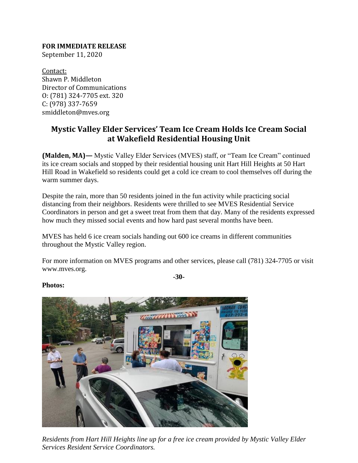**FOR IMMEDIATE RELEASE** September 11, 2020

Contact: Shawn P. Middleton Director of Communications O: (781) 324-7705 ext. 320 C: (978) 337-7659 smiddleton@mves.org

## **Mystic Valley Elder Services' Team Ice Cream Holds Ice Cream Social at Wakefield Residential Housing Unit**

**(Malden, MA)—** Mystic Valley Elder Services (MVES) staff, or "Team Ice Cream" continued its ice cream socials and stopped by their residential housing unit Hart Hill Heights at 50 Hart Hill Road in Wakefield so residents could get a cold ice cream to cool themselves off during the warm summer days.

Despite the rain, more than 50 residents joined in the fun activity while practicing social distancing from their neighbors. Residents were thrilled to see MVES Residential Service Coordinators in person and get a sweet treat from them that day. Many of the residents expressed how much they missed social events and how hard past several months have been.

MVES has held 6 ice cream socials handing out 600 ice creams in different communities throughout the Mystic Valley region.

For more information on MVES programs and other services, please call (781) 324-7705 or visit www.mves.org.

**-30-**





*Residents from Hart Hill Heights line up for a free ice cream provided by Mystic Valley Elder Services Resident Service Coordinators.*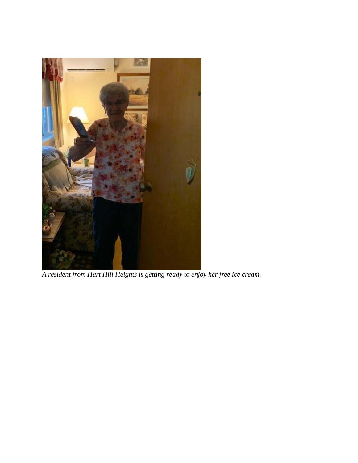

*A resident from Hart Hill Heights is getting ready to enjoy her free ice cream.*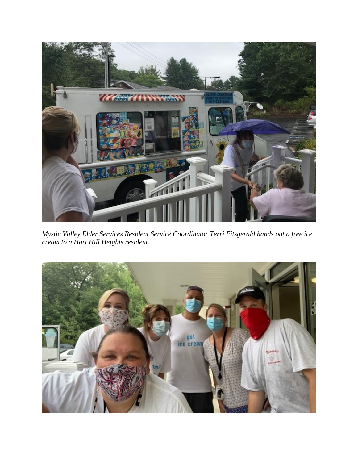

*Mystic Valley Elder Services Resident Service Coordinator Terri Fitzgerald hands out a free ice cream to a Hart Hill Heights resident.*